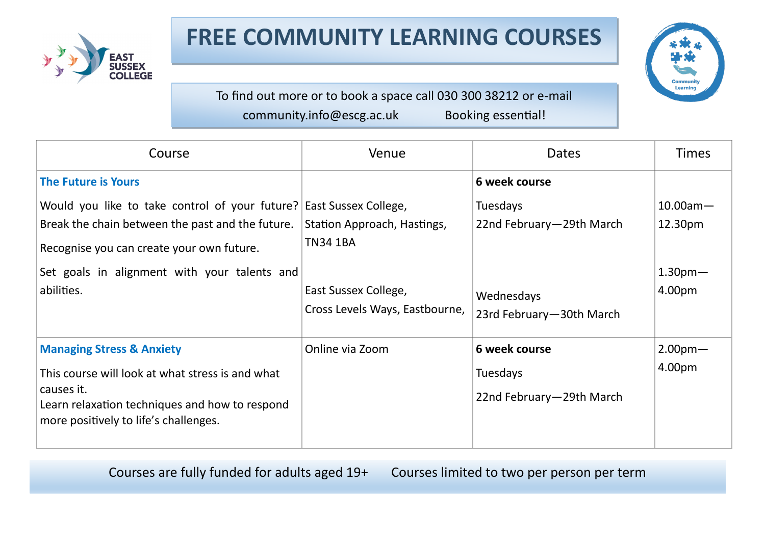



To find out more or to book a space call 030 300 38212 or e-mail community.info@escg.ac.uk Booking essential!

| Course                                                                                                                                                                                            | Venue                                                                  | <b>Dates</b>                                                 | <b>Times</b>                 |
|---------------------------------------------------------------------------------------------------------------------------------------------------------------------------------------------------|------------------------------------------------------------------------|--------------------------------------------------------------|------------------------------|
| <b>The Future is Yours</b>                                                                                                                                                                        |                                                                        | 6 week course                                                |                              |
| Would you like to take control of your future?<br>Break the chain between the past and the future.<br>Recognise you can create your own future.                                                   | East Sussex College,<br>Station Approach, Hastings,<br><b>TN34 1BA</b> | <b>Tuesdays</b><br>22nd February-29th March                  | $10.00$ am $-$<br>12.30pm    |
| Set goals in alignment with your talents and<br>abilities.                                                                                                                                        | East Sussex College,<br>Cross Levels Ways, Eastbourne,                 | Wednesdays<br>23rd February-30th March                       | 1.30 <sub>pm</sub><br>4.00pm |
| <b>Managing Stress &amp; Anxiety</b><br>This course will look at what stress is and what<br>causes it.<br>Learn relaxation techniques and how to respond<br>more positively to life's challenges. | Online via Zoom                                                        | 6 week course<br><b>Tuesdays</b><br>22nd February-29th March | 2.00 <sub>pm</sub><br>4.00pm |

Courses are fully funded for adults aged 19+ Courses limited to two per person per term